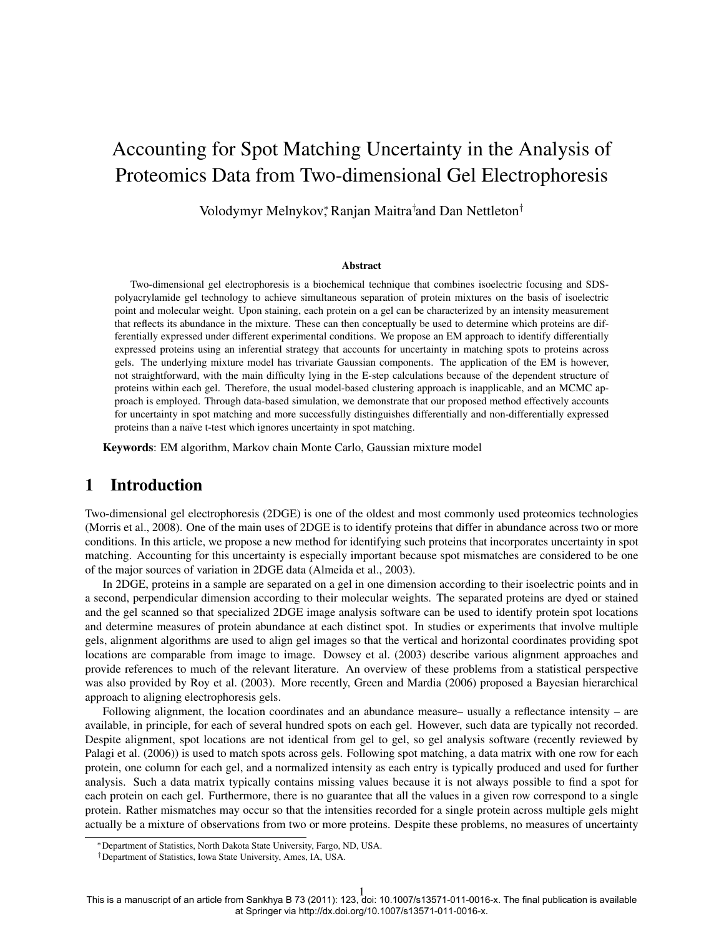# Accounting for Spot Matching Uncertainty in the Analysis of Proteomics Data from Two-dimensional Gel Electrophoresis

Volodymyr Melnykov,\* Ranjan Maitra<sup>†</sup>and Dan Nettleton<sup>†</sup>

#### Abstract

Two-dimensional gel electrophoresis is a biochemical technique that combines isoelectric focusing and SDSpolyacrylamide gel technology to achieve simultaneous separation of protein mixtures on the basis of isoelectric point and molecular weight. Upon staining, each protein on a gel can be characterized by an intensity measurement that reflects its abundance in the mixture. These can then conceptually be used to determine which proteins are differentially expressed under different experimental conditions. We propose an EM approach to identify differentially expressed proteins using an inferential strategy that accounts for uncertainty in matching spots to proteins across gels. The underlying mixture model has trivariate Gaussian components. The application of the EM is however, not straightforward, with the main difficulty lying in the E-step calculations because of the dependent structure of proteins within each gel. Therefore, the usual model-based clustering approach is inapplicable, and an MCMC approach is employed. Through data-based simulation, we demonstrate that our proposed method effectively accounts for uncertainty in spot matching and more successfully distinguishes differentially and non-differentially expressed proteins than a naïve t-test which ignores uncertainty in spot matching.

Keywords: EM algorithm, Markov chain Monte Carlo, Gaussian mixture model

## 1 Introduction

Two-dimensional gel electrophoresis (2DGE) is one of the oldest and most commonly used proteomics technologies (Morris et al., 2008). One of the main uses of 2DGE is to identify proteins that differ in abundance across two or more conditions. In this article, we propose a new method for identifying such proteins that incorporates uncertainty in spot matching. Accounting for this uncertainty is especially important because spot mismatches are considered to be one of the major sources of variation in 2DGE data (Almeida et al., 2003).

In 2DGE, proteins in a sample are separated on a gel in one dimension according to their isoelectric points and in a second, perpendicular dimension according to their molecular weights. The separated proteins are dyed or stained and the gel scanned so that specialized 2DGE image analysis software can be used to identify protein spot locations and determine measures of protein abundance at each distinct spot. In studies or experiments that involve multiple gels, alignment algorithms are used to align gel images so that the vertical and horizontal coordinates providing spot locations are comparable from image to image. Dowsey et al. (2003) describe various alignment approaches and provide references to much of the relevant literature. An overview of these problems from a statistical perspective was also provided by Roy et al. (2003). More recently, Green and Mardia (2006) proposed a Bayesian hierarchical approach to aligning electrophoresis gels.

Following alignment, the location coordinates and an abundance measure– usually a reflectance intensity – are available, in principle, for each of several hundred spots on each gel. However, such data are typically not recorded. Despite alignment, spot locations are not identical from gel to gel, so gel analysis software (recently reviewed by Palagi et al. (2006)) is used to match spots across gels. Following spot matching, a data matrix with one row for each protein, one column for each gel, and a normalized intensity as each entry is typically produced and used for further analysis. Such a data matrix typically contains missing values because it is not always possible to find a spot for each protein on each gel. Furthermore, there is no guarantee that all the values in a given row correspond to a single protein. Rather mismatches may occur so that the intensities recorded for a single protein across multiple gels might actually be a mixture of observations from two or more proteins. Despite these problems, no measures of uncertainty

<sup>∗</sup>Department of Statistics, North Dakota State University, Fargo, ND, USA.

<sup>†</sup>Department of Statistics, Iowa State University, Ames, IA, USA.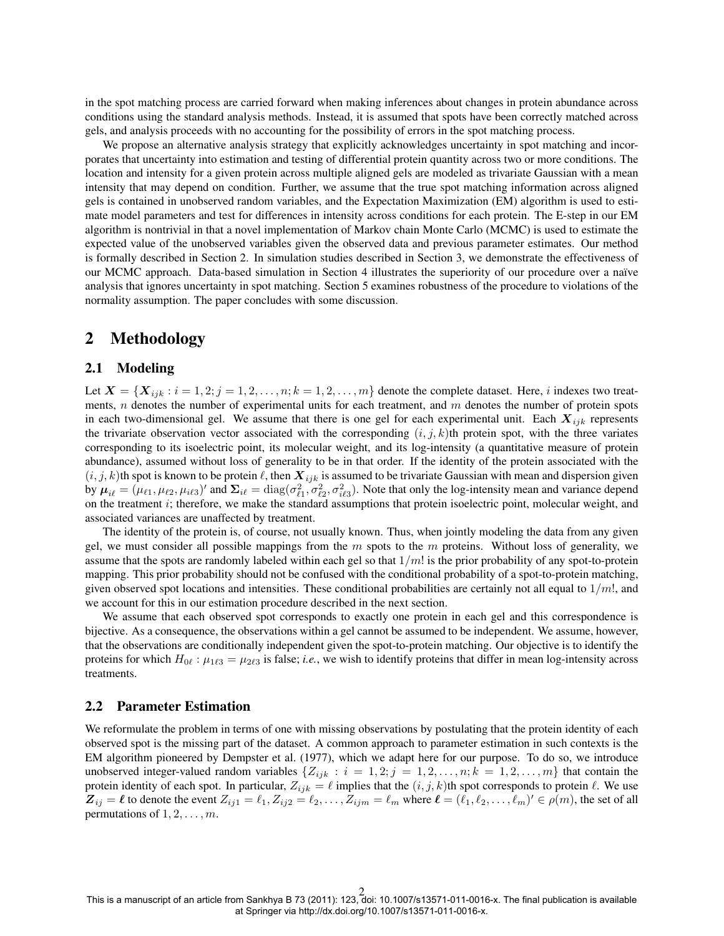in the spot matching process are carried forward when making inferences about changes in protein abundance across conditions using the standard analysis methods. Instead, it is assumed that spots have been correctly matched across gels, and analysis proceeds with no accounting for the possibility of errors in the spot matching process.

We propose an alternative analysis strategy that explicitly acknowledges uncertainty in spot matching and incorporates that uncertainty into estimation and testing of differential protein quantity across two or more conditions. The location and intensity for a given protein across multiple aligned gels are modeled as trivariate Gaussian with a mean intensity that may depend on condition. Further, we assume that the true spot matching information across aligned gels is contained in unobserved random variables, and the Expectation Maximization (EM) algorithm is used to estimate model parameters and test for differences in intensity across conditions for each protein. The E-step in our EM algorithm is nontrivial in that a novel implementation of Markov chain Monte Carlo (MCMC) is used to estimate the expected value of the unobserved variables given the observed data and previous parameter estimates. Our method is formally described in Section 2. In simulation studies described in Section 3, we demonstrate the effectiveness of our MCMC approach. Data-based simulation in Section 4 illustrates the superiority of our procedure over a naïve analysis that ignores uncertainty in spot matching. Section 5 examines robustness of the procedure to violations of the normality assumption. The paper concludes with some discussion.

## 2 Methodology

#### 2.1 Modeling

Let  $X = \{X_{ijk} : i = 1, 2; j = 1, 2, \ldots, n; k = 1, 2, \ldots, m\}$  denote the complete dataset. Here, i indexes two treatments,  $n$  denotes the number of experimental units for each treatment, and  $m$  denotes the number of protein spots in each two-dimensional gel. We assume that there is one gel for each experimental unit. Each  $X_{ijk}$  represents the trivariate observation vector associated with the corresponding  $(i, j, k)$ th protein spot, with the three variates corresponding to its isoelectric point, its molecular weight, and its log-intensity (a quantitative measure of protein abundance), assumed without loss of generality to be in that order. If the identity of the protein associated with the  $(i, j, k)$ th spot is known to be protein  $\ell$ , then  $X_{ijk}$  is assumed to be trivariate Gaussian with mean and dispersion given by  $\mu_{i\ell} = (\mu_{\ell 1}, \mu_{\ell 2}, \mu_{i\ell 3})'$  and  $\Sigma_{i\ell} = \text{diag}(\sigma_{\ell 1}^2, \sigma_{\ell 2}^2, \sigma_{i\ell 3}^2)$ . Note that only the log-intensity mean and variance depend on the treatment  $i$ ; therefore, we make the standard assumptions that protein isoelectric point, molecular weight, and associated variances are unaffected by treatment.

The identity of the protein is, of course, not usually known. Thus, when jointly modeling the data from any given gel, we must consider all possible mappings from the  $m$  spots to the  $m$  proteins. Without loss of generality, we assume that the spots are randomly labeled within each gel so that  $1/m!$  is the prior probability of any spot-to-protein mapping. This prior probability should not be confused with the conditional probability of a spot-to-protein matching, given observed spot locations and intensities. These conditional probabilities are certainly not all equal to  $1/m!$ , and we account for this in our estimation procedure described in the next section.

We assume that each observed spot corresponds to exactly one protein in each gel and this correspondence is bijective. As a consequence, the observations within a gel cannot be assumed to be independent. We assume, however, that the observations are conditionally independent given the spot-to-protein matching. Our objective is to identify the proteins for which  $H_{0\ell}$ :  $\mu_{1\ell3} = \mu_{2\ell3}$  is false; *i.e.*, we wish to identify proteins that differ in mean log-intensity across treatments.

#### 2.2 Parameter Estimation

We reformulate the problem in terms of one with missing observations by postulating that the protein identity of each observed spot is the missing part of the dataset. A common approach to parameter estimation in such contexts is the EM algorithm pioneered by Dempster et al. (1977), which we adapt here for our purpose. To do so, we introduce unobserved integer-valued random variables  $\{Z_{ijk} : i = 1, 2; j = 1, 2, \ldots, n; k = 1, 2, \ldots, m\}$  that contain the protein identity of each spot. In particular,  $Z_{ijk} = \ell$  implies that the  $(i, j, k)$ th spot corresponds to protein  $\ell$ . We use  $\mathbf{Z}_{ij} = \ell$  to denote the event  $Z_{ij1} = \ell_1, Z_{ij2} = \ell_2, \ldots, Z_{ijm} = \ell_m$  where  $\ell = (\ell_1, \ell_2, \ldots, \ell_m)' \in \rho(m)$ , the set of all permutations of  $1, 2, \ldots, m$ .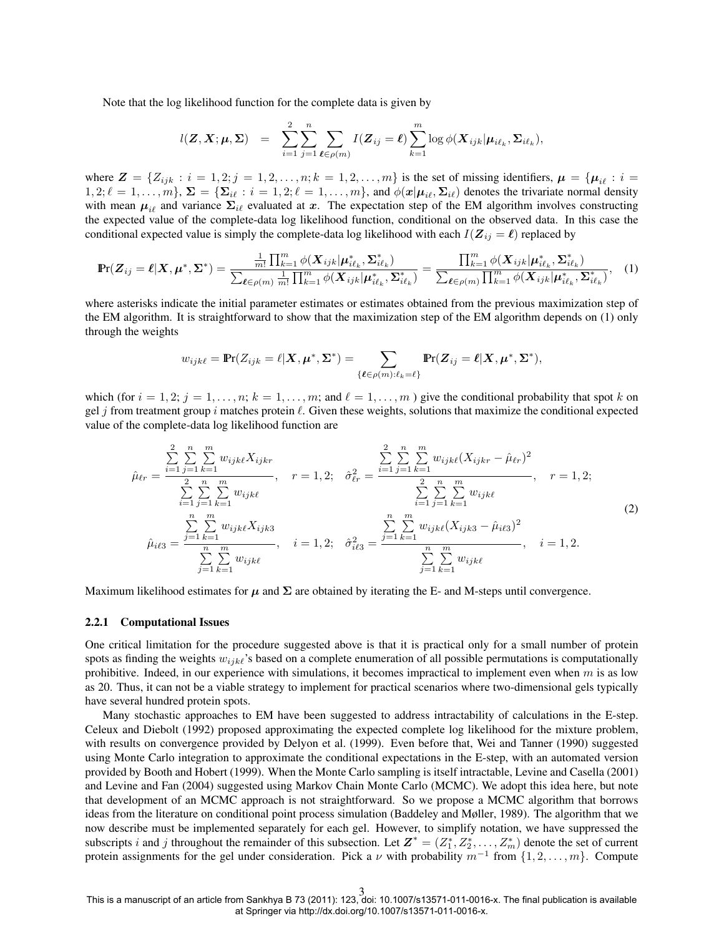Note that the log likelihood function for the complete data is given by

$$
l(\boldsymbol{Z},\boldsymbol{X};\boldsymbol{\mu},\boldsymbol{\Sigma})\;\;=\;\;\sum_{i=1}^2\sum_{j=1}^n\sum_{\boldsymbol{\ell}\in\rho(m)}I(\boldsymbol{Z}_{ij}=\boldsymbol{\ell})\sum_{k=1}^m\log\phi(\boldsymbol{X}_{ijk}|\boldsymbol{\mu}_{i\ell_k},\boldsymbol{\Sigma}_{i\ell_k}),
$$

where  $\mathbf{Z} = \{Z_{ijk} : i = 1, 2; j = 1, 2, ..., n; k = 1, 2, ..., m\}$  is the set of missing identifiers,  $\boldsymbol{\mu} = \{\boldsymbol{\mu}_{i\ell} : i = 1, 2, ..., n\}$  $1, 2; \ell = 1, \ldots, m\}, \Sigma = \{\Sigma_{i\ell} : i = 1, 2; \ell = 1, \ldots, m\},\$ and  $\phi(\mathbf{x}|\boldsymbol{\mu}_{i\ell}, \boldsymbol{\Sigma}_{i\ell})$  denotes the trivariate normal density with mean  $\mu_{i\ell}$  and variance  $\Sigma_{i\ell}$  evaluated at x. The expectation step of the EM algorithm involves constructing the expected value of the complete-data log likelihood function, conditional on the observed data. In this case the conditional expected value is simply the complete-data log likelihood with each  $I(\mathbf{Z}_{ij} = \ell)$  replaced by

$$
\mathbb{P}\mathbf{r}(\mathbf{Z}_{ij} = \boldsymbol{\ell}|\mathbf{X}, \boldsymbol{\mu}^*, \boldsymbol{\Sigma}^*) = \frac{\frac{1}{m!} \prod_{k=1}^m \phi(\mathbf{X}_{ijk}|\boldsymbol{\mu}_{i\ell_k}^*, \boldsymbol{\Sigma}_{i\ell_k}^*)}{\sum_{\boldsymbol{\ell} \in \rho(m)} \frac{1}{m!} \prod_{k=1}^m \phi(\mathbf{X}_{ijk}|\boldsymbol{\mu}_{i\ell_k}^*, \boldsymbol{\Sigma}_{i\ell_k}^*)} = \frac{\prod_{k=1}^m \phi(\mathbf{X}_{ijk}|\boldsymbol{\mu}_{i\ell_k}^*, \boldsymbol{\Sigma}_{i\ell_k}^*)}{\sum_{\boldsymbol{\ell} \in \rho(m)} \prod_{k=1}^m \phi(\mathbf{X}_{ijk}|\boldsymbol{\mu}_{i\ell_k}^*, \boldsymbol{\Sigma}_{i\ell_k}^*)}, \quad (1)
$$

where asterisks indicate the initial parameter estimates or estimates obtained from the previous maximization step of the EM algorithm. It is straightforward to show that the maximization step of the EM algorithm depends on (1) only through the weights

$$
w_{ijk\ell} = \text{Pr}(Z_{ijk} = \ell | \mathbf{X}, \boldsymbol{\mu}^*, \boldsymbol{\Sigma}^*) = \sum_{\{\boldsymbol{\ell} \in \rho(m): \ell_k = \ell\}} \text{Pr}(\boldsymbol{Z}_{ij} = \boldsymbol{\ell} | \mathbf{X}, \boldsymbol{\mu}^*, \boldsymbol{\Sigma}^*),
$$

which (for  $i = 1, 2; j = 1, \ldots, n; k = 1, \ldots, m;$  and  $\ell = 1, \ldots, m$ ) give the conditional probability that spot k on gel j from treatment group i matches protein  $\ell$ . Given these weights, solutions that maximize the conditional expected value of the complete-data log likelihood function are

$$
\hat{\mu}_{\ell r} = \frac{\sum_{i=1}^{2} \sum_{j=1}^{n} \sum_{k=1}^{m} w_{ijk\ell} X_{ijkr}}{\sum_{i=1}^{2} \sum_{j=1}^{n} \sum_{k=1}^{m} w_{ijk\ell}} , \quad r = 1, 2; \quad \hat{\sigma}_{\ell r}^{2} = \frac{\sum_{i=1}^{2} \sum_{j=1}^{n} \sum_{k=1}^{m} w_{ijk\ell} (X_{ijkr} - \hat{\mu}_{\ell r})^{2}}{\sum_{i=1}^{2} \sum_{j=1}^{n} \sum_{k=1}^{m} w_{ijk\ell}} , \quad r = 1, 2; \quad \hat{\sigma}_{\ell r}^{2} = \frac{\sum_{i=1}^{2} \sum_{j=1}^{n} \sum_{k=1}^{m} w_{ijk\ell}}{\sum_{i=1}^{2} \sum_{j=1}^{n} \sum_{k=1}^{m} w_{ijk\ell} (X_{ijk3} - \hat{\mu}_{i\ell 3})^{2}} , \quad \hat{\mu}_{\ell s}^{2} = \frac{\sum_{j=1}^{2} \sum_{k=1}^{m} w_{ijk\ell} (X_{ijk3} - \hat{\mu}_{i\ell 3})^{2}}{\sum_{j=1}^{2} \sum_{k=1}^{m} \sum_{k=1}^{m} w_{ijk\ell}} , \quad i = 1, 2.
$$
\n(2)

Maximum likelihood estimates for  $\mu$  and  $\Sigma$  are obtained by iterating the E- and M-steps until convergence.

#### 2.2.1 Computational Issues

One critical limitation for the procedure suggested above is that it is practical only for a small number of protein spots as finding the weights  $w_{ijk\ell}$ 's based on a complete enumeration of all possible permutations is computationally prohibitive. Indeed, in our experience with simulations, it becomes impractical to implement even when  $m$  is as low as 20. Thus, it can not be a viable strategy to implement for practical scenarios where two-dimensional gels typically have several hundred protein spots.

Many stochastic approaches to EM have been suggested to address intractability of calculations in the E-step. Celeux and Diebolt (1992) proposed approximating the expected complete log likelihood for the mixture problem, with results on convergence provided by Delyon et al. (1999). Even before that, Wei and Tanner (1990) suggested using Monte Carlo integration to approximate the conditional expectations in the E-step, with an automated version provided by Booth and Hobert (1999). When the Monte Carlo sampling is itself intractable, Levine and Casella (2001) and Levine and Fan (2004) suggested using Markov Chain Monte Carlo (MCMC). We adopt this idea here, but note that development of an MCMC approach is not straightforward. So we propose a MCMC algorithm that borrows ideas from the literature on conditional point process simulation (Baddeley and Møller, 1989). The algorithm that we now describe must be implemented separately for each gel. However, to simplify notation, we have suppressed the subscripts i and j throughout the remainder of this subsection. Let  $\mathbf{Z}^* = (Z_1^*, Z_2^*, \dots, Z_m^*)$  denote the set of current protein assignments for the gel under consideration. Pick a  $\nu$  with probability  $m^{-1}$  from  $\{1, 2, ..., m\}$ . Compute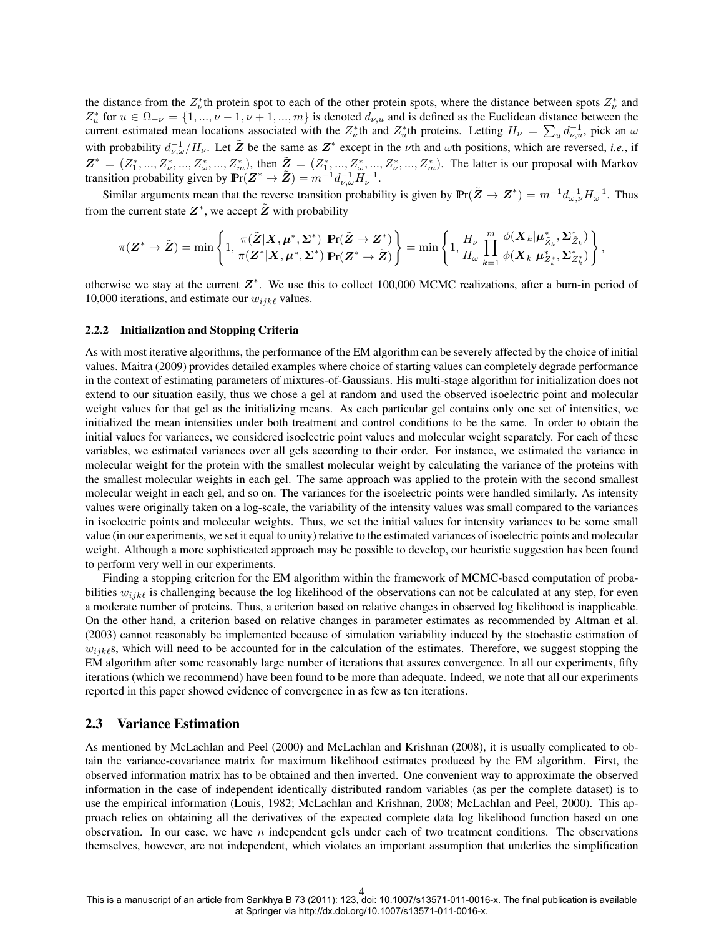the distance from the  $Z^*_{\nu}$ th protein spot to each of the other protein spots, where the distance between spots  $Z^*_{\nu}$  and  $Z_u^*$  for  $u \in \Omega_{-\nu} = \{1, ..., \nu-1, \nu+1, ..., m\}$  is denoted  $d_{\nu,u}$  and is defined as the Euclidean distance between the current estimated mean locations associated with the  $Z^*_{\nu}$ th and  $Z^*_{\nu}$ th proteins. Letting  $H_{\nu} = \sum_{u} d_{\nu,u}^{-1}$ , pick an  $\omega$ with probability  $d_{\nu,\omega}^{-1}/H_{\nu}$ . Let  $\tilde{Z}$  be the same as  $Z^*$  except in the  $\nu$ th and  $\omega$ th positions, which are reversed, *i.e.*, if  $\mathbf{Z}^* = (Z_1^*,..., Z_{\nu}^*,..., Z_{\omega}^*,..., Z_m^*)$ , then  $\tilde{\mathbf{Z}} = (Z_1^*,..., Z_{\omega}^*,..., Z_{\nu}^*,..., Z_m^*)$ . The latter is our proposal with Markov transition probability given by  $\mathbb{P}r(Z^* \to \tilde{Z}) = m^{-1} d_{\nu,\omega}^{-1} \tilde{H}_{\nu}^{-1}$ .

Similar arguments mean that the reverse transition probability is given by  $Pr(\tilde{Z} \to Z^*) = m^{-1} d_{\omega,\nu}^{-1} H_{\omega}^{-1}$ . Thus from the current state  $Z^*$ , we accept  $\tilde{Z}$  with probability

$$
\pi(\boldsymbol{Z}^* \rightarrow \tilde{\boldsymbol{Z}}) = \min \left\{1, \frac{\pi(\tilde{\boldsymbol{Z}}|\boldsymbol{X}, \boldsymbol{\mu}^*, \boldsymbol{\Sigma}^*)}{\pi(\boldsymbol{Z}^*|\boldsymbol{X}, \boldsymbol{\mu}^*, \boldsymbol{\Sigma}^*)} \frac{\mathbb{P}r(\tilde{\boldsymbol{Z}} \rightarrow \boldsymbol{Z}^*)}{\mathbb{P}r(\boldsymbol{Z}^* \rightarrow \tilde{\boldsymbol{Z}})}\right\} = \min \left\{1, \frac{H_{\nu}}{H_{\omega}} \prod_{k=1}^m \frac{\phi(\boldsymbol{X}_k|\boldsymbol{\mu}_{\tilde{Z}_k}^*, \boldsymbol{\Sigma}_{\tilde{Z}_k}^*)}{\phi(\boldsymbol{X}_k|\boldsymbol{\mu}_{Z_k^*}^*, \boldsymbol{\Sigma}_{Z_k^*}^*)}\right\},
$$

otherwise we stay at the current  $Z^*$ . We use this to collect 100,000 MCMC realizations, after a burn-in period of 10,000 iterations, and estimate our  $w_{ijk\ell}$  values.

#### 2.2.2 Initialization and Stopping Criteria

As with most iterative algorithms, the performance of the EM algorithm can be severely affected by the choice of initial values. Maitra (2009) provides detailed examples where choice of starting values can completely degrade performance in the context of estimating parameters of mixtures-of-Gaussians. His multi-stage algorithm for initialization does not extend to our situation easily, thus we chose a gel at random and used the observed isoelectric point and molecular weight values for that gel as the initializing means. As each particular gel contains only one set of intensities, we initialized the mean intensities under both treatment and control conditions to be the same. In order to obtain the initial values for variances, we considered isoelectric point values and molecular weight separately. For each of these variables, we estimated variances over all gels according to their order. For instance, we estimated the variance in molecular weight for the protein with the smallest molecular weight by calculating the variance of the proteins with the smallest molecular weights in each gel. The same approach was applied to the protein with the second smallest molecular weight in each gel, and so on. The variances for the isoelectric points were handled similarly. As intensity values were originally taken on a log-scale, the variability of the intensity values was small compared to the variances in isoelectric points and molecular weights. Thus, we set the initial values for intensity variances to be some small value (in our experiments, we set it equal to unity) relative to the estimated variances of isoelectric points and molecular weight. Although a more sophisticated approach may be possible to develop, our heuristic suggestion has been found to perform very well in our experiments.

Finding a stopping criterion for the EM algorithm within the framework of MCMC-based computation of probabilities  $w_{ijk\ell}$  is challenging because the log likelihood of the observations can not be calculated at any step, for even a moderate number of proteins. Thus, a criterion based on relative changes in observed log likelihood is inapplicable. On the other hand, a criterion based on relative changes in parameter estimates as recommended by Altman et al. (2003) cannot reasonably be implemented because of simulation variability induced by the stochastic estimation of  $w_{ijk}\varepsilon$ , which will need to be accounted for in the calculation of the estimates. Therefore, we suggest stopping the EM algorithm after some reasonably large number of iterations that assures convergence. In all our experiments, fifty iterations (which we recommend) have been found to be more than adequate. Indeed, we note that all our experiments reported in this paper showed evidence of convergence in as few as ten iterations.

#### 2.3 Variance Estimation

As mentioned by McLachlan and Peel (2000) and McLachlan and Krishnan (2008), it is usually complicated to obtain the variance-covariance matrix for maximum likelihood estimates produced by the EM algorithm. First, the observed information matrix has to be obtained and then inverted. One convenient way to approximate the observed information in the case of independent identically distributed random variables (as per the complete dataset) is to use the empirical information (Louis, 1982; McLachlan and Krishnan, 2008; McLachlan and Peel, 2000). This approach relies on obtaining all the derivatives of the expected complete data log likelihood function based on one observation. In our case, we have  $n$  independent gels under each of two treatment conditions. The observations themselves, however, are not independent, which violates an important assumption that underlies the simplification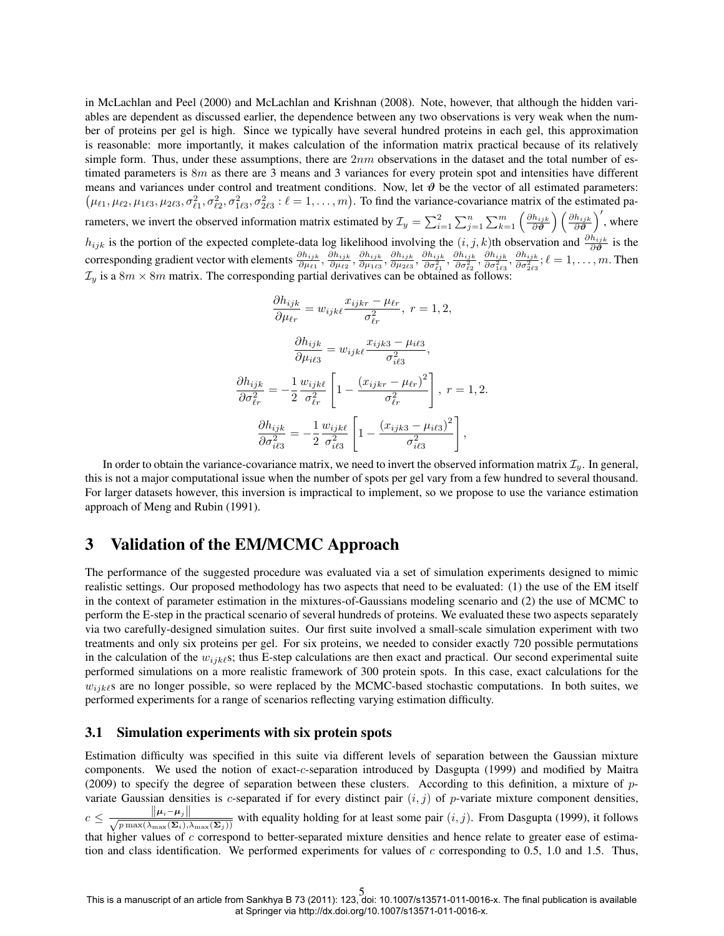in McLachlan and Peel (2000) and McLachlan and Krishnan (2008). Note, however, that although the hidden variables are dependent as discussed earlier, the dependence between any two observations is very weak when the number of proteins per gel is high. Since we typically have several hundred proteins in each gel, this approximation is reasonable: more importantly, it makes calculation of the information matrix practical because of its relatively simple form. Thus, under these assumptions, there are  $2nm$  observations in the dataset and the total number of estimated parameters is  $8m$  as there are 3 means and 3 variances for every protein spot and intensities have different means and variances under control and treatment conditions. Now, let  $\vartheta$  be the vector of all estimated parameters:  $(\mu_{\ell 1}, \mu_{\ell 2}, \mu_{1\ell 3}, \mu_{2\ell 3}, \sigma_{\ell 1}^2, \sigma_{\ell 2}^2, \sigma_{1\ell 3}^2, \sigma_{2\ell 3}^2 : \ell = 1, \ldots, m)$ . To find the variance-covariance matrix of the estimated parameters, we invert the observed information matrix estimated by  $\mathcal{I}_y = \sum_{i=1}^2 \sum_{j=1}^n \sum_{k=1}^m \left( \frac{\partial h_{ijk}}{\partial \theta} \right) \left( \frac{\partial h_{ijk}}{\partial \theta} \right)'$ , where  $h_{ijk}$  is the portion of the expected complete-data log likelihood involving the  $(i, j, k)$ th observation and  $\frac{\partial h_{ijk}}{\partial \theta}$  is the corresponding gradient vector with elements  $\frac{\partial h_{ijk}}{\partial \mu_{\ell 1}}$ ,  $\frac{\partial h_{ijk}}{\partial \mu_{\ell 2}}$  $\frac{\partial h_{ijk}}{\partial \mu_{\ell 2}}, \frac{\partial h_{ijk}}{\partial \mu_{1\ell 3}}$  $\frac{\partial h_{ijk}}{\partial \mu_{1\ell3}}, \frac{\partial h_{ijk}}{\partial \mu_{2\ell3}}$  $\frac{\partial h_{ijk}}{\partial \mu_{2\ell 3}}, \frac{\partial h_{ijk}}{\partial \sigma_{\ell 2}^2}, \frac{\partial h_{ijk}}{\partial \sigma_{1\ell 3}^2}, \frac{\partial h_{ijk}}{\partial \sigma_{2\ell 3}^2}; \ell = 1, \ldots, m$ . Then  $\mathcal{I}_y$  is a 8m  $\times$  8m matrix. The corresponding partial derivatives can be obtained as follows:

$$
\frac{\partial h_{ijk}}{\partial \mu_{\ell r}} = w_{ijk\ell} \frac{x_{ijkr} - \mu_{\ell r}}{\sigma_{\ell r}^2}, \ r = 1, 2,
$$

$$
\frac{\partial h_{ijk}}{\partial \mu_{\ell s}} = w_{ijk\ell} \frac{x_{ijk3} - \mu_{\ell t3}}{\sigma_{\ell s}^2},
$$

$$
\frac{\partial h_{ijk}}{\partial \sigma_{\ell r}^2} = -\frac{1}{2} \frac{w_{ijk\ell}}{\sigma_{\ell r}^2} \left[ 1 - \frac{(x_{ijkr} - \mu_{\ell r})^2}{\sigma_{\ell r}^2} \right], \ r = 1, 2.
$$

$$
\frac{\partial h_{ijk}}{\partial \sigma_{\ell s}^2} = -\frac{1}{2} \frac{w_{ijk\ell}}{\sigma_{\ell t3}^2} \left[ 1 - \frac{(x_{ijk3} - \mu_{\ell s})^2}{\sigma_{\ell s}^2} \right],
$$

In order to obtain the variance-covariance matrix, we need to invert the observed information matrix  $\mathcal{I}_y$ . In general, this is not a major computational issue when the number of spots per gel vary from a few hundred to several thousand. For larger datasets however, this inversion is impractical to implement, so we propose to use the variance estimation approach of Meng and Rubin (1991).

# 3 Validation of the EM/MCMC Approach

The performance of the suggested procedure was evaluated via a set of simulation experiments designed to mimic realistic settings. Our proposed methodology has two aspects that need to be evaluated: (1) the use of the EM itself in the context of parameter estimation in the mixtures-of-Gaussians modeling scenario and (2) the use of MCMC to perform the E-step in the practical scenario of several hundreds of proteins. We evaluated these two aspects separately via two carefully-designed simulation suites. Our first suite involved a small-scale simulation experiment with two treatments and only six proteins per gel. For six proteins, we needed to consider exactly 720 possible permutations in the calculation of the  $w_{ijk\ell}$ s; thus E-step calculations are then exact and practical. Our second experimental suite performed simulations on a more realistic framework of 300 protein spots. In this case, exact calculations for the  $w_{i j k \ell}$ s are no longer possible, so were replaced by the MCMC-based stochastic computations. In both suites, we performed experiments for a range of scenarios reflecting varying estimation difficulty.

#### 3.1 Simulation experiments with six protein spots

Estimation difficulty was specified in this suite via different levels of separation between the Gaussian mixture components. We used the notion of exact-c-separation introduced by Dasgupta (1999) and modified by Maitra (2009) to specify the degree of separation between these clusters. According to this definition, a mixture of  $p$ variate Gaussian densities is c-separated if for every distinct pair  $(i, j)$  of p-variate mixture component densities,  $c \leq \frac{\|\mu_i - \mu_j\|}{\sqrt{p \max(\lambda_{\max}(\Sigma_i), \lambda_{\max}(\Sigma_j))}}$  with equality holding for at least some pair  $(i, j)$ . From Dasgupta (1999), it follows that higher values of c correspond to better-separated mixture densities and hence relate to greater ease of estimation and class identification. We performed experiments for values of  $c$  corresponding to 0.5, 1.0 and 1.5. Thus,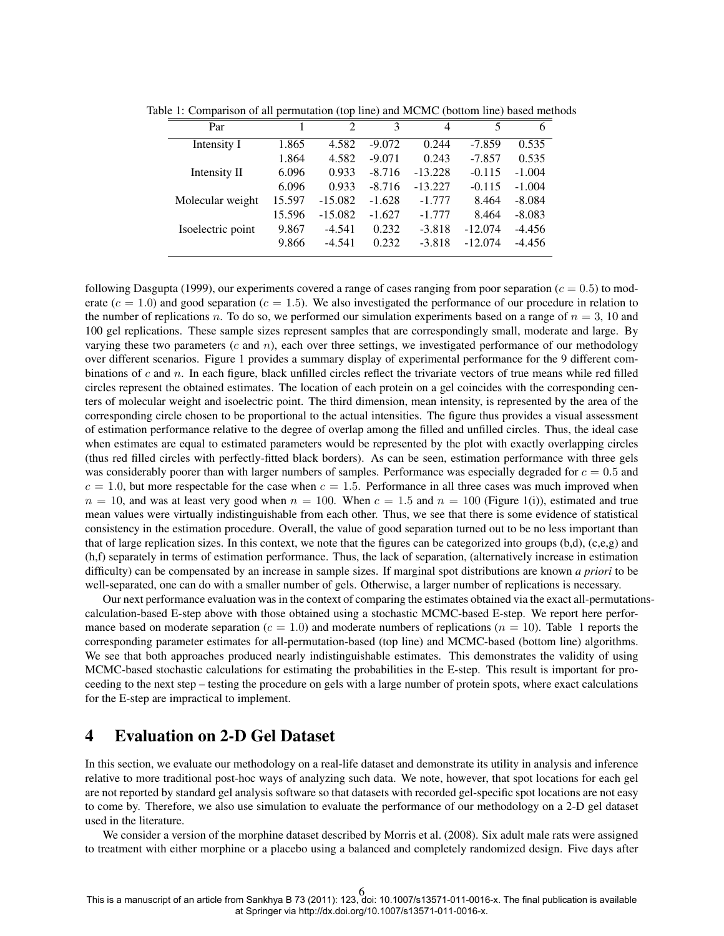|        | $\mathfrak{D}$ | 3        | 4         | 5         | 6        |
|--------|----------------|----------|-----------|-----------|----------|
| 1.865  | 4.582          | $-9.072$ | 0.244     | $-7.859$  | 0.535    |
| 1.864  | 4.582          | $-9.071$ | 0.243     | $-7.857$  | 0.535    |
| 6.096  | 0.933          | $-8.716$ | $-13.228$ | $-0.115$  | $-1.004$ |
| 6.096  | 0.933          | $-8.716$ | $-13.227$ | $-0.115$  | $-1.004$ |
| 15.597 | $-15.082$      | $-1.628$ | $-1.777$  | 8.464     | $-8.084$ |
| 15.596 | $-15.082$      | $-1.627$ | $-1.777$  | 8.464     | $-8.083$ |
| 9.867  | $-4.541$       | 0.232    | $-3.818$  | $-12.074$ | $-4.456$ |
| 9.866  | $-4.541$       | 0.232    | $-3.818$  | $-12.074$ | $-4.456$ |
|        |                |          |           |           |          |

Table 1: Comparison of all permutation (top line) and MCMC (bottom line) based methods

following Dasgupta (1999), our experiments covered a range of cases ranging from poor separation ( $c = 0.5$ ) to moderate  $(c = 1.0)$  and good separation  $(c = 1.5)$ . We also investigated the performance of our procedure in relation to the number of replications n. To do so, we performed our simulation experiments based on a range of  $n = 3$ , 10 and 100 gel replications. These sample sizes represent samples that are correspondingly small, moderate and large. By varying these two parameters  $(c \text{ and } n)$ , each over three settings, we investigated performance of our methodology over different scenarios. Figure 1 provides a summary display of experimental performance for the 9 different combinations of c and n. In each figure, black unfilled circles reflect the trivariate vectors of true means while red filled circles represent the obtained estimates. The location of each protein on a gel coincides with the corresponding centers of molecular weight and isoelectric point. The third dimension, mean intensity, is represented by the area of the corresponding circle chosen to be proportional to the actual intensities. The figure thus provides a visual assessment of estimation performance relative to the degree of overlap among the filled and unfilled circles. Thus, the ideal case when estimates are equal to estimated parameters would be represented by the plot with exactly overlapping circles (thus red filled circles with perfectly-fitted black borders). As can be seen, estimation performance with three gels was considerably poorer than with larger numbers of samples. Performance was especially degraded for  $c = 0.5$  and  $c = 1.0$ , but more respectable for the case when  $c = 1.5$ . Performance in all three cases was much improved when  $n = 10$ , and was at least very good when  $n = 100$ . When  $c = 1.5$  and  $n = 100$  (Figure 1(i)), estimated and true mean values were virtually indistinguishable from each other. Thus, we see that there is some evidence of statistical consistency in the estimation procedure. Overall, the value of good separation turned out to be no less important than that of large replication sizes. In this context, we note that the figures can be categorized into groups  $(b,d)$ ,  $(c,e,g)$  and (h,f) separately in terms of estimation performance. Thus, the lack of separation, (alternatively increase in estimation difficulty) can be compensated by an increase in sample sizes. If marginal spot distributions are known *a priori* to be well-separated, one can do with a smaller number of gels. Otherwise, a larger number of replications is necessary.

Our next performance evaluation was in the context of comparing the estimates obtained via the exact all-permutationscalculation-based E-step above with those obtained using a stochastic MCMC-based E-step. We report here performance based on moderate separation ( $c = 1.0$ ) and moderate numbers of replications ( $n = 10$ ). Table 1 reports the corresponding parameter estimates for all-permutation-based (top line) and MCMC-based (bottom line) algorithms. We see that both approaches produced nearly indistinguishable estimates. This demonstrates the validity of using MCMC-based stochastic calculations for estimating the probabilities in the E-step. This result is important for proceeding to the next step – testing the procedure on gels with a large number of protein spots, where exact calculations for the E-step are impractical to implement.

# 4 Evaluation on 2-D Gel Dataset

In this section, we evaluate our methodology on a real-life dataset and demonstrate its utility in analysis and inference relative to more traditional post-hoc ways of analyzing such data. We note, however, that spot locations for each gel are not reported by standard gel analysis software so that datasets with recorded gel-specific spot locations are not easy to come by. Therefore, we also use simulation to evaluate the performance of our methodology on a 2-D gel dataset used in the literature.

We consider a version of the morphine dataset described by Morris et al. (2008). Six adult male rats were assigned to treatment with either morphine or a placebo using a balanced and completely randomized design. Five days after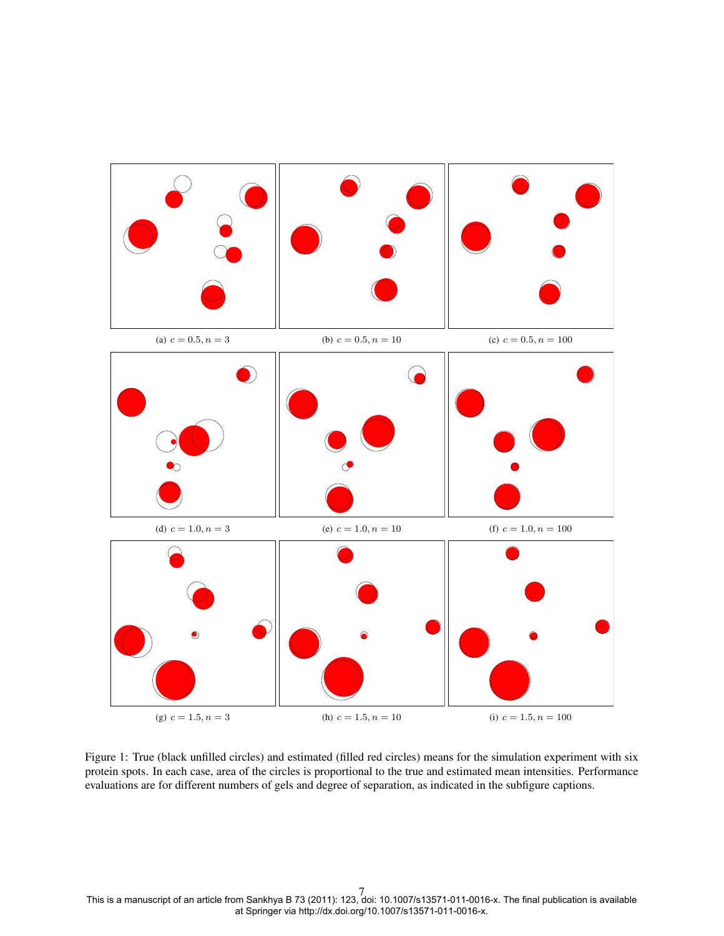

Figure 1: True (black unfilled circles) and estimated (filled red circles) means for the simulation experiment with six protein spots. In each case, area of the circles is proportional to the true and estimated mean intensities. Performance evaluations are for different numbers of gels and degree of separation, as indicated in the subfigure captions.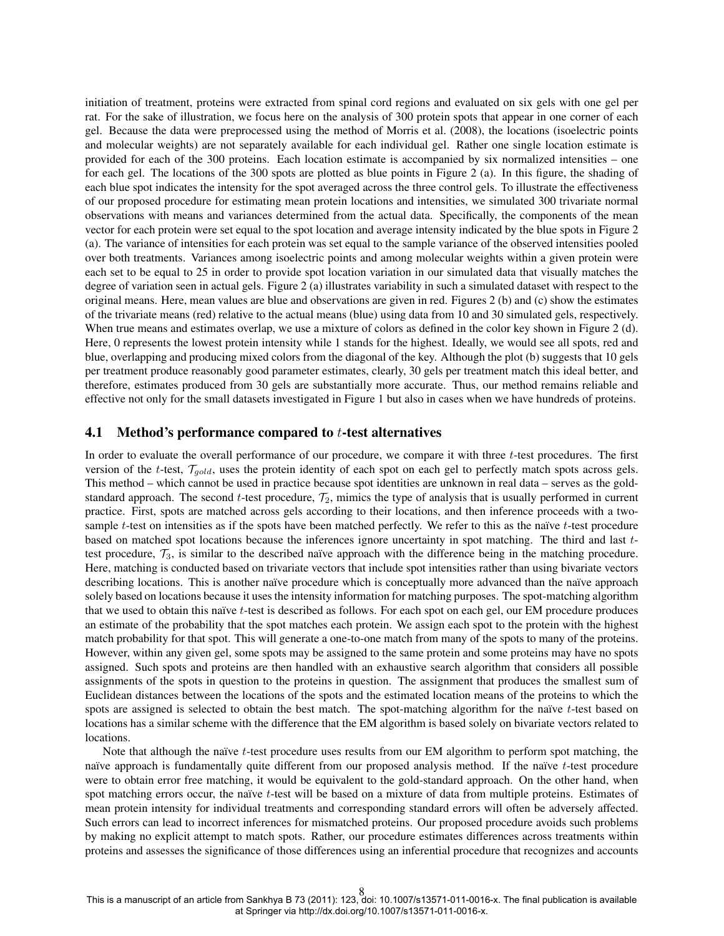initiation of treatment, proteins were extracted from spinal cord regions and evaluated on six gels with one gel per rat. For the sake of illustration, we focus here on the analysis of 300 protein spots that appear in one corner of each gel. Because the data were preprocessed using the method of Morris et al. (2008), the locations (isoelectric points and molecular weights) are not separately available for each individual gel. Rather one single location estimate is provided for each of the 300 proteins. Each location estimate is accompanied by six normalized intensities – one for each gel. The locations of the 300 spots are plotted as blue points in Figure 2 (a). In this figure, the shading of each blue spot indicates the intensity for the spot averaged across the three control gels. To illustrate the effectiveness of our proposed procedure for estimating mean protein locations and intensities, we simulated 300 trivariate normal observations with means and variances determined from the actual data. Specifically, the components of the mean vector for each protein were set equal to the spot location and average intensity indicated by the blue spots in Figure 2 (a). The variance of intensities for each protein was set equal to the sample variance of the observed intensities pooled over both treatments. Variances among isoelectric points and among molecular weights within a given protein were each set to be equal to 25 in order to provide spot location variation in our simulated data that visually matches the degree of variation seen in actual gels. Figure 2 (a) illustrates variability in such a simulated dataset with respect to the original means. Here, mean values are blue and observations are given in red. Figures 2 (b) and (c) show the estimates of the trivariate means (red) relative to the actual means (blue) using data from 10 and 30 simulated gels, respectively. When true means and estimates overlap, we use a mixture of colors as defined in the color key shown in Figure 2 (d). Here, 0 represents the lowest protein intensity while 1 stands for the highest. Ideally, we would see all spots, red and blue, overlapping and producing mixed colors from the diagonal of the key. Although the plot (b) suggests that 10 gels per treatment produce reasonably good parameter estimates, clearly, 30 gels per treatment match this ideal better, and therefore, estimates produced from 30 gels are substantially more accurate. Thus, our method remains reliable and effective not only for the small datasets investigated in Figure 1 but also in cases when we have hundreds of proteins.

#### 4.1 Method's performance compared to  $t$ -test alternatives

In order to evaluate the overall performance of our procedure, we compare it with three  $t$ -test procedures. The first version of the t-test,  $T_{gold}$ , uses the protein identity of each spot on each gel to perfectly match spots across gels. This method – which cannot be used in practice because spot identities are unknown in real data – serves as the goldstandard approach. The second t-test procedure,  $\mathcal{T}_2$ , mimics the type of analysis that is usually performed in current practice. First, spots are matched across gels according to their locations, and then inference proceeds with a twosample  $t$ -test on intensities as if the spots have been matched perfectly. We refer to this as the naïve  $t$ -test procedure based on matched spot locations because the inferences ignore uncertainty in spot matching. The third and last ttest procedure,  $\mathcal{T}_3$ , is similar to the described naïve approach with the difference being in the matching procedure. Here, matching is conducted based on trivariate vectors that include spot intensities rather than using bivariate vectors describing locations. This is another naïve procedure which is conceptually more advanced than the naïve approach solely based on locations because it uses the intensity information for matching purposes. The spot-matching algorithm that we used to obtain this naïve t-test is described as follows. For each spot on each gel, our EM procedure produces an estimate of the probability that the spot matches each protein. We assign each spot to the protein with the highest match probability for that spot. This will generate a one-to-one match from many of the spots to many of the proteins. However, within any given gel, some spots may be assigned to the same protein and some proteins may have no spots assigned. Such spots and proteins are then handled with an exhaustive search algorithm that considers all possible assignments of the spots in question to the proteins in question. The assignment that produces the smallest sum of Euclidean distances between the locations of the spots and the estimated location means of the proteins to which the spots are assigned is selected to obtain the best match. The spot-matching algorithm for the naïve  $t$ -test based on locations has a similar scheme with the difference that the EM algorithm is based solely on bivariate vectors related to locations.

Note that although the naïve t-test procedure uses results from our EM algorithm to perform spot matching, the naïve approach is fundamentally quite different from our proposed analysis method. If the naïve t-test procedure were to obtain error free matching, it would be equivalent to the gold-standard approach. On the other hand, when spot matching errors occur, the naïve t-test will be based on a mixture of data from multiple proteins. Estimates of mean protein intensity for individual treatments and corresponding standard errors will often be adversely affected. Such errors can lead to incorrect inferences for mismatched proteins. Our proposed procedure avoids such problems by making no explicit attempt to match spots. Rather, our procedure estimates differences across treatments within proteins and assesses the significance of those differences using an inferential procedure that recognizes and accounts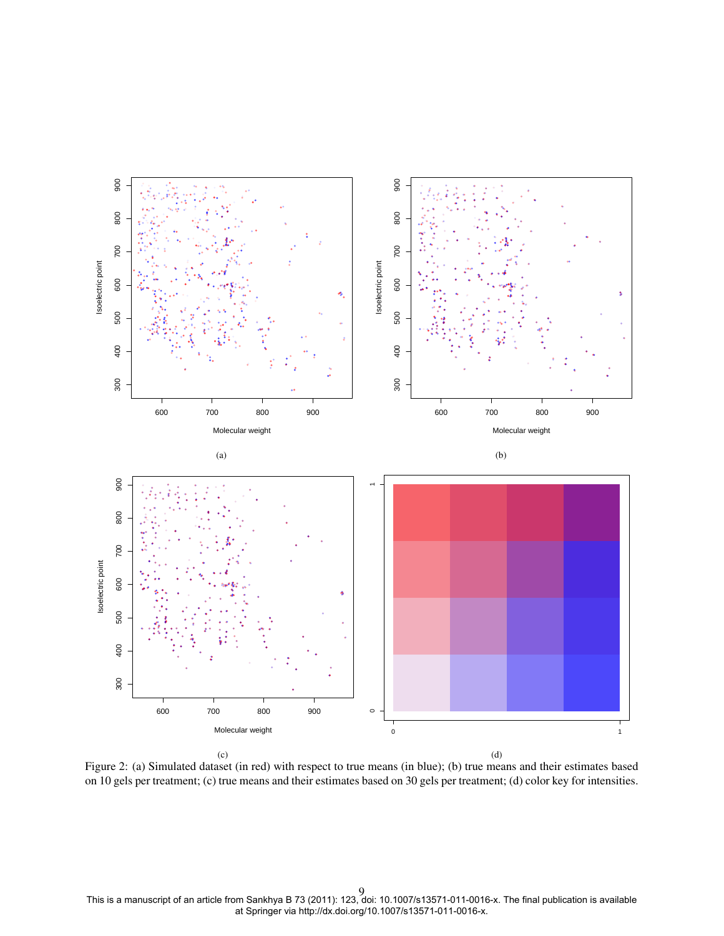

Figure 2: (a) Simulated dataset (in red) with respect to true means (in blue); (b) true means and their estimates based on 10 gels per treatment; (c) true means and their estimates based on 30 gels per treatment; (d) color key for intensities.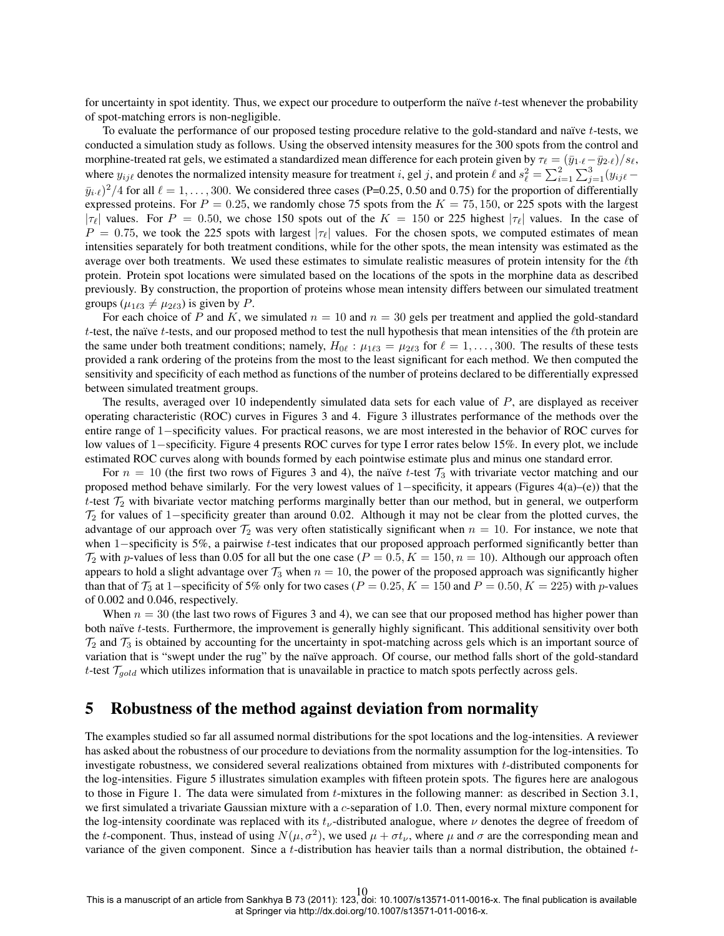for uncertainty in spot identity. Thus, we expect our procedure to outperform the naïve  $t$ -test whenever the probability of spot-matching errors is non-negligible.

To evaluate the performance of our proposed testing procedure relative to the gold-standard and naïve t-tests, we conducted a simulation study as follows. Using the observed intensity measures for the 300 spots from the control and morphine-treated rat gels, we estimated a standardized mean difference for each protein given by  $\tau_\ell = (\bar{y}_1 \cdot_\ell - \bar{y}_2 \cdot_\ell)/s_\ell$ , where  $y_{ij\ell}$  denotes the normalized intensity measure for treatment i, gel j, and protein  $\ell$  and  $s_\ell^2 = \sum_{i=1}^2 \sum_{j=1}^3 (y_{ij\ell} (\bar{y}_{i\cdot\ell})^2/4$  for all  $\ell = 1, \ldots, 300$ . We considered three cases (P=0.25, 0.50 and 0.75) for the proportion of differentially expressed proteins. For  $P = 0.25$ , we randomly chose 75 spots from the  $K = 75, 150$ , or 225 spots with the largest  $|\tau_{\ell}|$  values. For  $P = 0.50$ , we chose 150 spots out of the  $K = 150$  or 225 highest  $|\tau_{\ell}|$  values. In the case of  $P = 0.75$ , we took the 225 spots with largest  $|\tau_\ell|$  values. For the chosen spots, we computed estimates of mean intensities separately for both treatment conditions, while for the other spots, the mean intensity was estimated as the average over both treatments. We used these estimates to simulate realistic measures of protein intensity for the  $\ell$ th protein. Protein spot locations were simulated based on the locations of the spots in the morphine data as described previously. By construction, the proportion of proteins whose mean intensity differs between our simulated treatment groups ( $\mu_{1\ell3} \neq \mu_{2\ell3}$ ) is given by P.

For each choice of P and K, we simulated  $n = 10$  and  $n = 30$  gels per treatment and applied the gold-standard  $t$ -test, the naïve  $t$ -tests, and our proposed method to test the null hypothesis that mean intensities of the  $\ell$ th protein are the same under both treatment conditions; namely,  $H_{0\ell}$ :  $\mu_{1\ell3} = \mu_{2\ell3}$  for  $\ell = 1, \ldots, 300$ . The results of these tests provided a rank ordering of the proteins from the most to the least significant for each method. We then computed the sensitivity and specificity of each method as functions of the number of proteins declared to be differentially expressed between simulated treatment groups.

The results, averaged over 10 independently simulated data sets for each value of  $P$ , are displayed as receiver operating characteristic (ROC) curves in Figures 3 and 4. Figure 3 illustrates performance of the methods over the entire range of 1−specificity values. For practical reasons, we are most interested in the behavior of ROC curves for low values of 1−specificity. Figure 4 presents ROC curves for type I error rates below 15%. In every plot, we include estimated ROC curves along with bounds formed by each pointwise estimate plus and minus one standard error.

For  $n = 10$  (the first two rows of Figures 3 and 4), the naïve t-test  $\mathcal{T}_3$  with trivariate vector matching and our proposed method behave similarly. For the very lowest values of 1−specificity, it appears (Figures 4(a)–(e)) that the t-test  $\mathcal{T}_2$  with bivariate vector matching performs marginally better than our method, but in general, we outperform  $\mathcal{T}_2$  for values of 1−specificity greater than around 0.02. Although it may not be clear from the plotted curves, the advantage of our approach over  $\mathcal{T}_2$  was very often statistically significant when  $n = 10$ . For instance, we note that when 1–specificity is 5%, a pairwise t-test indicates that our proposed approach performed significantly better than  $\mathcal{T}_2$  with p-values of less than 0.05 for all but the one case ( $P = 0.5, K = 150, n = 10$ ). Although our approach often appears to hold a slight advantage over  $T_3$  when  $n = 10$ , the power of the proposed approach was significantly higher than that of  $\mathcal{T}_3$  at 1−specificity of 5% only for two cases ( $P = 0.25, K = 150$  and  $P = 0.50, K = 225$ ) with p-values of 0.002 and 0.046, respectively.

When  $n = 30$  (the last two rows of Figures 3 and 4), we can see that our proposed method has higher power than both naïve t-tests. Furthermore, the improvement is generally highly significant. This additional sensitivity over both  $\mathcal{T}_2$  and  $\mathcal{T}_3$  is obtained by accounting for the uncertainty in spot-matching across gels which is an important source of variation that is "swept under the rug" by the naïve approach. Of course, our method falls short of the gold-standard t-test  $T_{gold}$  which utilizes information that is unavailable in practice to match spots perfectly across gels.

### 5 Robustness of the method against deviation from normality

The examples studied so far all assumed normal distributions for the spot locations and the log-intensities. A reviewer has asked about the robustness of our procedure to deviations from the normality assumption for the log-intensities. To investigate robustness, we considered several realizations obtained from mixtures with t-distributed components for the log-intensities. Figure 5 illustrates simulation examples with fifteen protein spots. The figures here are analogous to those in Figure 1. The data were simulated from t-mixtures in the following manner: as described in Section 3.1, we first simulated a trivariate Gaussian mixture with a c-separation of 1.0. Then, every normal mixture component for the log-intensity coordinate was replaced with its  $t_{\nu}$ -distributed analogue, where  $\nu$  denotes the degree of freedom of the t-component. Thus, instead of using  $N(\mu, \sigma^2)$ , we used  $\mu + \sigma t_{\nu}$ , where  $\mu$  and  $\sigma$  are the corresponding mean and variance of the given component. Since a t-distribution has heavier tails than a normal distribution, the obtained  $t$ -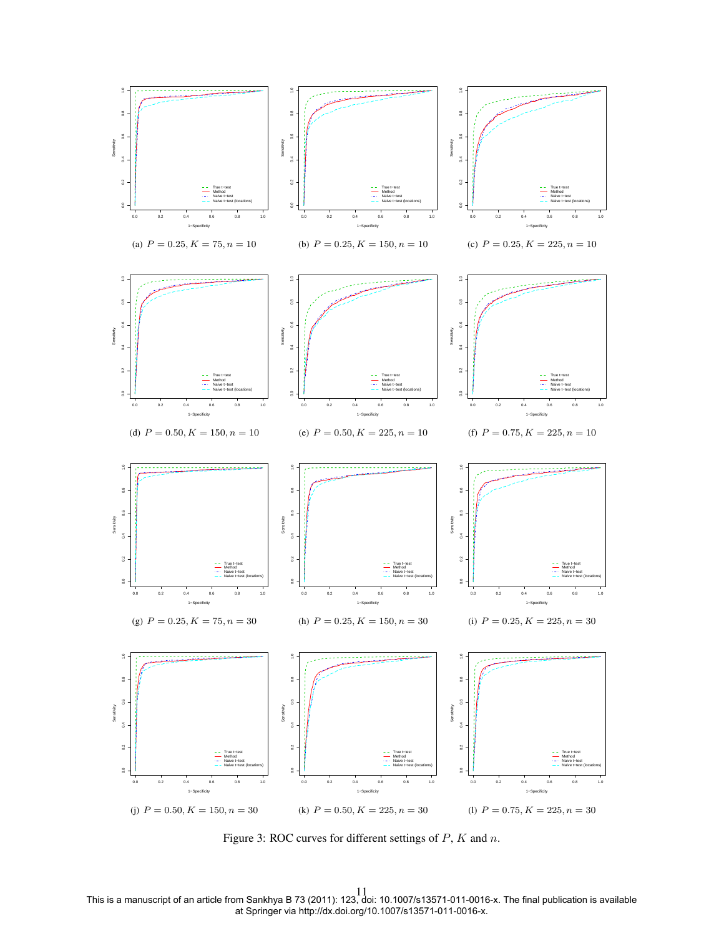

Figure 3: ROC curves for different settings of P, K and n.

11 This is a manuscript of an article from Sankhya B 73 (2011): 123, doi: 10.1007/s13571-011-0016-x. The final publication is available at Springer via http://dx.doi.org/10.1007/s13571-011-0016-x.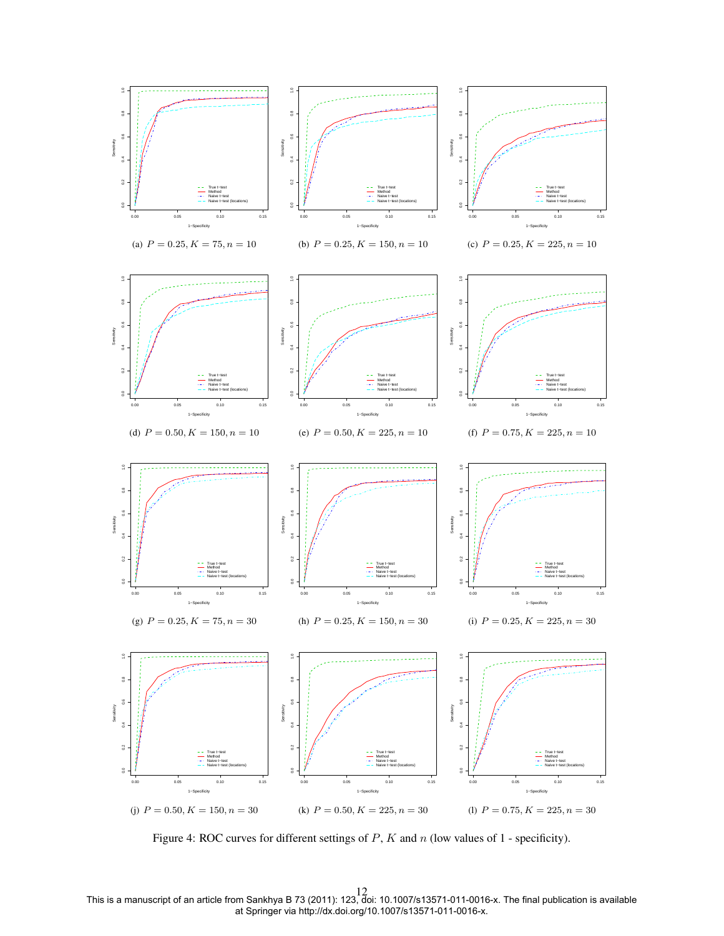

Figure 4: ROC curves for different settings of  $P$ ,  $K$  and  $n$  (low values of 1 - specificity).

12 This is a manuscript of an article from Sankhya B 73 (2011): 123, doi: 10.1007/s13571-011-0016-x. The final publication is available at Springer via http://dx.doi.org/10.1007/s13571-011-0016-x.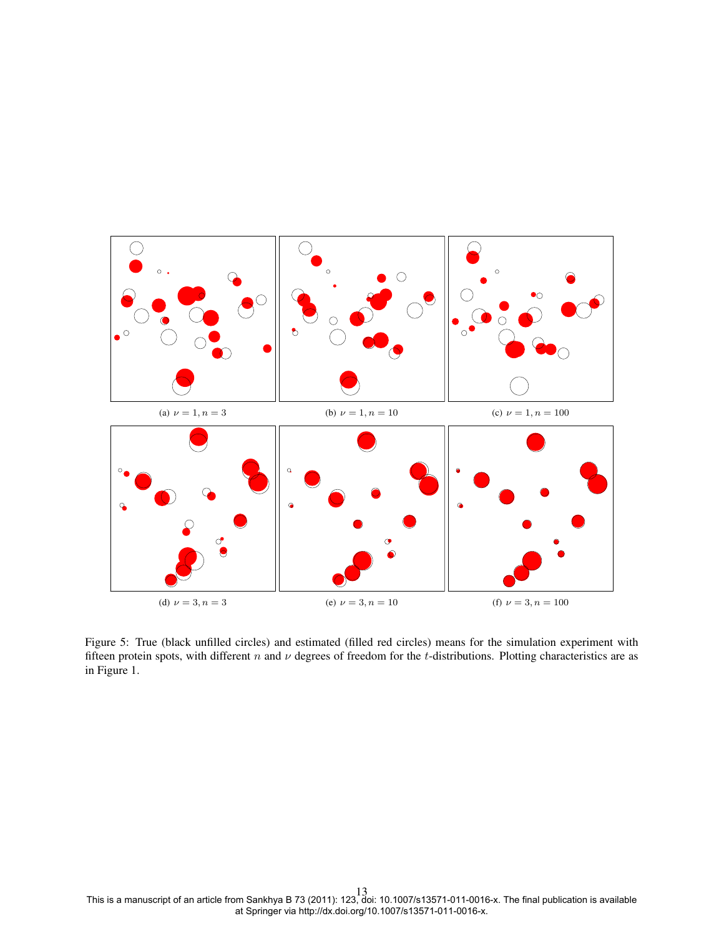

Figure 5: True (black unfilled circles) and estimated (filled red circles) means for the simulation experiment with fifteen protein spots, with different  $n$  and  $\nu$  degrees of freedom for the t-distributions. Plotting characteristics are as in Figure 1.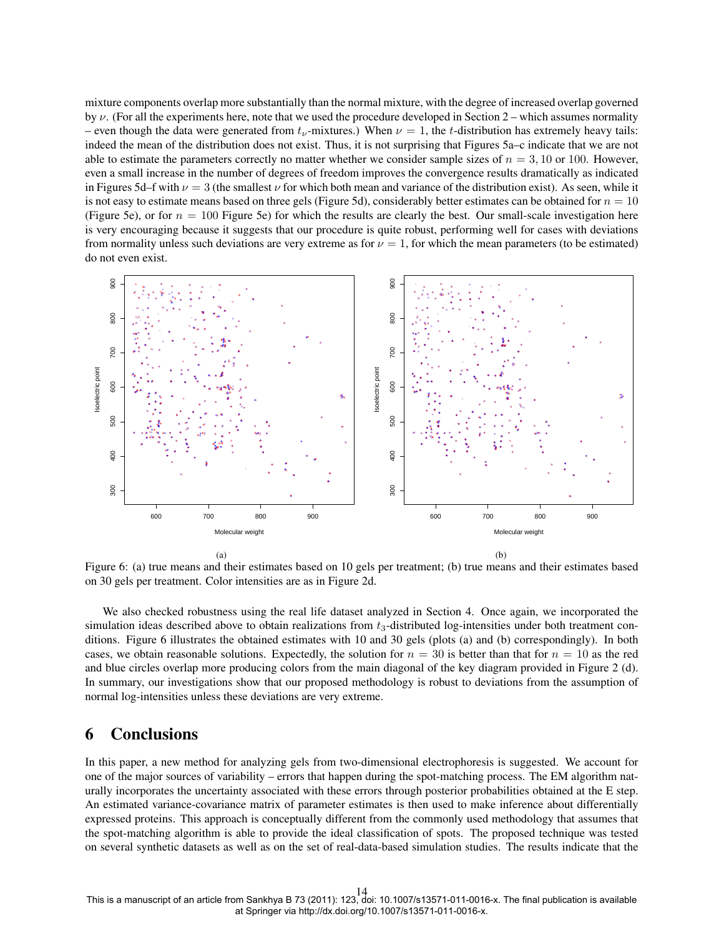mixture components overlap more substantially than the normal mixture, with the degree of increased overlap governed by  $\nu$ . (For all the experiments here, note that we used the procedure developed in Section 2 – which assumes normality – even though the data were generated from  $t_{\nu}$ -mixtures.) When  $\nu = 1$ , the t-distribution has extremely heavy tails: indeed the mean of the distribution does not exist. Thus, it is not surprising that Figures 5a–c indicate that we are not able to estimate the parameters correctly no matter whether we consider sample sizes of  $n = 3, 10$  or 100. However, even a small increase in the number of degrees of freedom improves the convergence results dramatically as indicated in Figures 5d–f with  $\nu = 3$  (the smallest  $\nu$  for which both mean and variance of the distribution exist). As seen, while it is not easy to estimate means based on three gels (Figure 5d), considerably better estimates can be obtained for  $n = 10$ (Figure 5e), or for  $n = 100$  Figure 5e) for which the results are clearly the best. Our small-scale investigation here is very encouraging because it suggests that our procedure is quite robust, performing well for cases with deviations from normality unless such deviations are very extreme as for  $\nu = 1$ , for which the mean parameters (to be estimated) do not even exist.



Figure 6: (a) true means and their estimates based on 10 gels per treatment; (b) true means and their estimates based on 30 gels per treatment. Color intensities are as in Figure 2d.

We also checked robustness using the real life dataset analyzed in Section 4. Once again, we incorporated the simulation ideas described above to obtain realizations from  $t_3$ -distributed log-intensities under both treatment conditions. Figure 6 illustrates the obtained estimates with 10 and 30 gels (plots (a) and (b) correspondingly). In both cases, we obtain reasonable solutions. Expectedly, the solution for  $n = 30$  is better than that for  $n = 10$  as the red and blue circles overlap more producing colors from the main diagonal of the key diagram provided in Figure 2 (d). In summary, our investigations show that our proposed methodology is robust to deviations from the assumption of normal log-intensities unless these deviations are very extreme.

## 6 Conclusions

In this paper, a new method for analyzing gels from two-dimensional electrophoresis is suggested. We account for one of the major sources of variability – errors that happen during the spot-matching process. The EM algorithm naturally incorporates the uncertainty associated with these errors through posterior probabilities obtained at the E step. An estimated variance-covariance matrix of parameter estimates is then used to make inference about differentially expressed proteins. This approach is conceptually different from the commonly used methodology that assumes that the spot-matching algorithm is able to provide the ideal classification of spots. The proposed technique was tested on several synthetic datasets as well as on the set of real-data-based simulation studies. The results indicate that the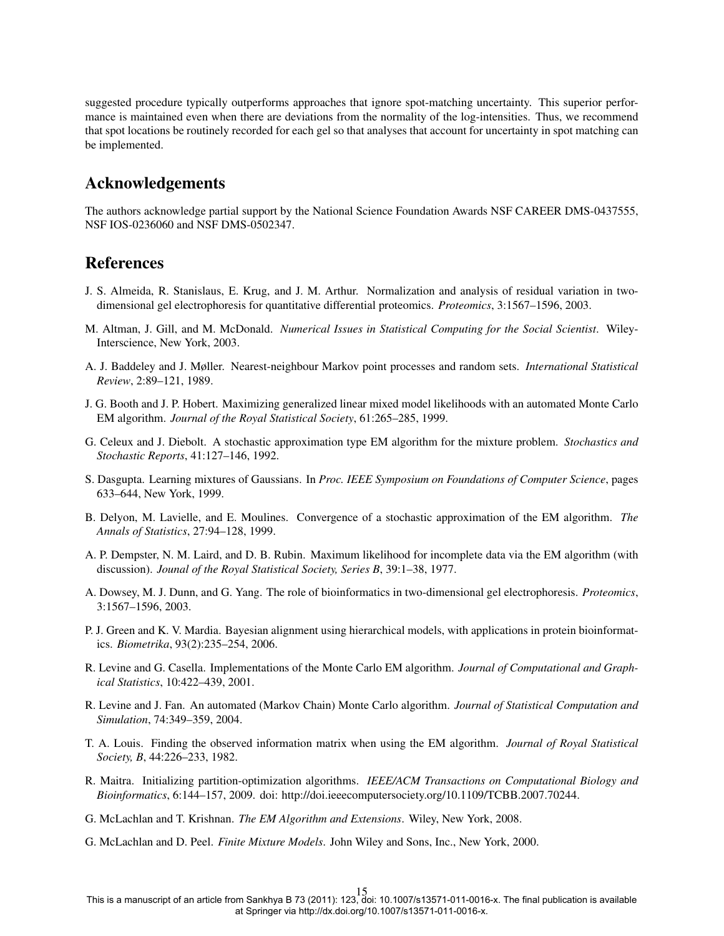suggested procedure typically outperforms approaches that ignore spot-matching uncertainty. This superior performance is maintained even when there are deviations from the normality of the log-intensities. Thus, we recommend that spot locations be routinely recorded for each gel so that analyses that account for uncertainty in spot matching can be implemented.

# Acknowledgements

The authors acknowledge partial support by the National Science Foundation Awards NSF CAREER DMS-0437555, NSF IOS-0236060 and NSF DMS-0502347.

# References

- J. S. Almeida, R. Stanislaus, E. Krug, and J. M. Arthur. Normalization and analysis of residual variation in twodimensional gel electrophoresis for quantitative differential proteomics. *Proteomics*, 3:1567–1596, 2003.
- M. Altman, J. Gill, and M. McDonald. *Numerical Issues in Statistical Computing for the Social Scientist*. Wiley-Interscience, New York, 2003.
- A. J. Baddeley and J. Møller. Nearest-neighbour Markov point processes and random sets. *International Statistical Review*, 2:89–121, 1989.
- J. G. Booth and J. P. Hobert. Maximizing generalized linear mixed model likelihoods with an automated Monte Carlo EM algorithm. *Journal of the Royal Statistical Society*, 61:265–285, 1999.
- G. Celeux and J. Diebolt. A stochastic approximation type EM algorithm for the mixture problem. *Stochastics and Stochastic Reports*, 41:127–146, 1992.
- S. Dasgupta. Learning mixtures of Gaussians. In *Proc. IEEE Symposium on Foundations of Computer Science*, pages 633–644, New York, 1999.
- B. Delyon, M. Lavielle, and E. Moulines. Convergence of a stochastic approximation of the EM algorithm. *The Annals of Statistics*, 27:94–128, 1999.
- A. P. Dempster, N. M. Laird, and D. B. Rubin. Maximum likelihood for incomplete data via the EM algorithm (with discussion). *Jounal of the Royal Statistical Society, Series B*, 39:1–38, 1977.
- A. Dowsey, M. J. Dunn, and G. Yang. The role of bioinformatics in two-dimensional gel electrophoresis. *Proteomics*, 3:1567–1596, 2003.
- P. J. Green and K. V. Mardia. Bayesian alignment using hierarchical models, with applications in protein bioinformatics. *Biometrika*, 93(2):235–254, 2006.
- R. Levine and G. Casella. Implementations of the Monte Carlo EM algorithm. *Journal of Computational and Graphical Statistics*, 10:422–439, 2001.
- R. Levine and J. Fan. An automated (Markov Chain) Monte Carlo algorithm. *Journal of Statistical Computation and Simulation*, 74:349–359, 2004.
- T. A. Louis. Finding the observed information matrix when using the EM algorithm. *Journal of Royal Statistical Society, B*, 44:226–233, 1982.
- R. Maitra. Initializing partition-optimization algorithms. *IEEE/ACM Transactions on Computational Biology and Bioinformatics*, 6:144–157, 2009. doi: http://doi.ieeecomputersociety.org/10.1109/TCBB.2007.70244.
- G. McLachlan and T. Krishnan. *The EM Algorithm and Extensions*. Wiley, New York, 2008.
- G. McLachlan and D. Peel. *Finite Mixture Models*. John Wiley and Sons, Inc., New York, 2000.

15 This is a manuscript of an article from Sankhya B 73 (2011): 123, doi: 10.1007/s13571-011-0016-x. The final publication is available at Springer via http://dx.doi.org/10.1007/s13571-011-0016-x.